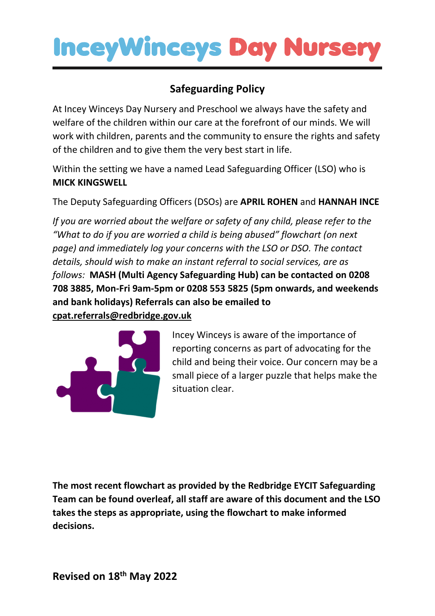### **Safeguarding Policy**

At Incey Winceys Day Nursery and Preschool we always have the safety and welfare of the children within our care at the forefront of our minds. We will work with children, parents and the community to ensure the rights and safety of the children and to give them the very best start in life.

Within the setting we have a named Lead Safeguarding Officer (LSO) who is **MICK KINGSWELL**

The Deputy Safeguarding Officers (DSOs) are **APRIL ROHEN** and **HANNAH INCE**

*If you are worried about the welfare or safety of any child, please refer to the "What to do if you are worried a child is being abused" flowchart (on next page) and immediately log your concerns with the LSO or DSO. The contact details, should wish to make an instant referral to social services, are as follows:* **MASH (Multi Agency Safeguarding Hub) can be contacted on 0208 708 3885, Mon-Fri 9am-5pm or 0208 553 5825 (5pm onwards, and weekends and bank holidays) Referrals can also be emailed to cpat.referrals@redbridge.gov.uk**



Incey Winceys is aware of the importance of reporting concerns as part of advocating for the child and being their voice. Our concern may be a small piece of a larger puzzle that helps make the situation clear.

**The most recent flowchart as provided by the Redbridge EYCIT Safeguarding Team can be found overleaf, all staff are aware of this document and the LSO takes the steps as appropriate, using the flowchart to make informed decisions.**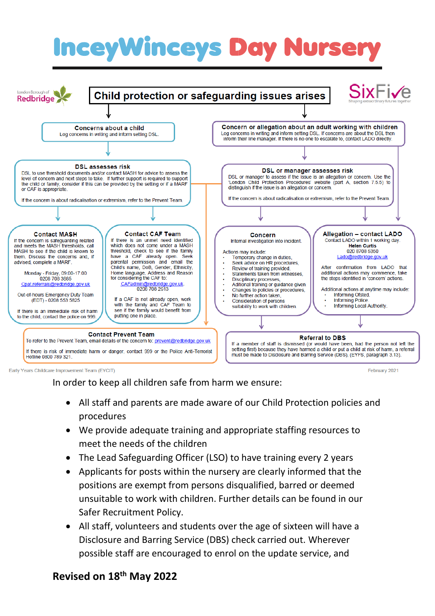

Farly Years Childcare Improvement Team (FYCIT)

In order to keep all children safe from harm we ensure:

• All staff and parents are made aware of our Child Protection policies and procedures

February 2021

- We provide adequate training and appropriate staffing resources to meet the needs of the children
- The Lead Safeguarding Officer (LSO) to have training every 2 years
- Applicants for posts within the nursery are clearly informed that the positions are exempt from persons disqualified, barred or deemed unsuitable to work with children. Further details can be found in our Safer Recruitment Policy.
- All staff, volunteers and students over the age of sixteen will have a Disclosure and Barring Service (DBS) check carried out. Wherever possible staff are encouraged to enrol on the update service, and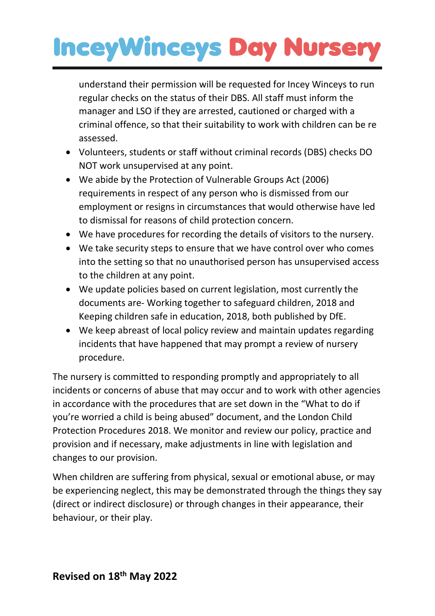understand their permission will be requested for Incey Winceys to run regular checks on the status of their DBS. All staff must inform the manager and LSO if they are arrested, cautioned or charged with a criminal offence, so that their suitability to work with children can be re assessed.

- Volunteers, students or staff without criminal records (DBS) checks DO NOT work unsupervised at any point.
- We abide by the Protection of Vulnerable Groups Act (2006) requirements in respect of any person who is dismissed from our employment or resigns in circumstances that would otherwise have led to dismissal for reasons of child protection concern.
- We have procedures for recording the details of visitors to the nursery.
- We take security steps to ensure that we have control over who comes into the setting so that no unauthorised person has unsupervised access to the children at any point.
- We update policies based on current legislation, most currently the documents are- Working together to safeguard children, 2018 and Keeping children safe in education, 2018, both published by DfE.
- We keep abreast of local policy review and maintain updates regarding incidents that have happened that may prompt a review of nursery procedure.

The nursery is committed to responding promptly and appropriately to all incidents or concerns of abuse that may occur and to work with other agencies in accordance with the procedures that are set down in the "What to do if you're worried a child is being abused" document, and the London Child Protection Procedures 2018. We monitor and review our policy, practice and provision and if necessary, make adjustments in line with legislation and changes to our provision.

When children are suffering from physical, sexual or emotional abuse, or may be experiencing neglect, this may be demonstrated through the things they say (direct or indirect disclosure) or through changes in their appearance, their behaviour, or their play.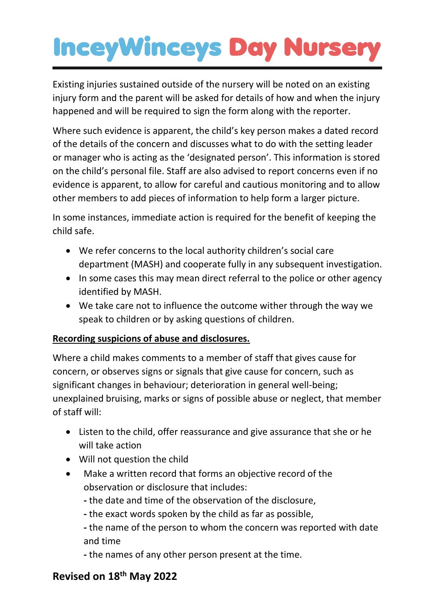Existing injuries sustained outside of the nursery will be noted on an existing injury form and the parent will be asked for details of how and when the injury happened and will be required to sign the form along with the reporter.

Where such evidence is apparent, the child's key person makes a dated record of the details of the concern and discusses what to do with the setting leader or manager who is acting as the 'designated person'. This information is stored on the child's personal file. Staff are also advised to report concerns even if no evidence is apparent, to allow for careful and cautious monitoring and to allow other members to add pieces of information to help form a larger picture.

In some instances, immediate action is required for the benefit of keeping the child safe.

- We refer concerns to the local authority children's social care department (MASH) and cooperate fully in any subsequent investigation.
- In some cases this may mean direct referral to the police or other agency identified by MASH.
- We take care not to influence the outcome wither through the way we speak to children or by asking questions of children.

#### **Recording suspicions of abuse and disclosures.**

Where a child makes comments to a member of staff that gives cause for concern, or observes signs or signals that give cause for concern, such as significant changes in behaviour; deterioration in general well-being; unexplained bruising, marks or signs of possible abuse or neglect, that member of staff will:

- Listen to the child, offer reassurance and give assurance that she or he will take action
- Will not question the child
- Make a written record that forms an objective record of the observation or disclosure that includes:
	- **-** the date and time of the observation of the disclosure,
	- **-** the exact words spoken by the child as far as possible,

**-** the name of the person to whom the concern was reported with date and time

**-** the names of any other person present at the time.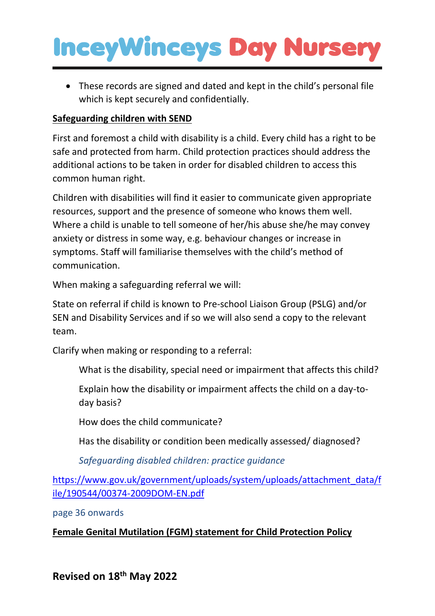• These records are signed and dated and kept in the child's personal file which is kept securely and confidentially.

#### **Safeguarding children with SEND**

First and foremost a child with disability is a child. Every child has a right to be safe and protected from harm. Child protection practices should address the additional actions to be taken in order for disabled children to access this common human right.

Children with disabilities will find it easier to communicate given appropriate resources, support and the presence of someone who knows them well. Where a child is unable to tell someone of her/his abuse she/he may convey anxiety or distress in some way, e.g. behaviour changes or increase in symptoms. Staff will familiarise themselves with the child's method of communication.

When making a safeguarding referral we will:

State on referral if child is known to Pre-school Liaison Group (PSLG) and/or SEN and Disability Services and if so we will also send a copy to the relevant team.

Clarify when making or responding to a referral:

What is the disability, special need or impairment that affects this child?

Explain how the disability or impairment affects the child on a day-today basis?

How does the child communicate?

Has the disability or condition been medically assessed/ diagnosed?

*Safeguarding disabled children: practice guidance* 

[https://www.gov.uk/government/uploads/system/uploads/attachment\\_data/f](https://www.gov.uk/government/uploads/system/uploads/attachment_data/file/190544/00374-2009DOM-EN.pdf) [ile/190544/00374-2009DOM-EN.pdf](https://www.gov.uk/government/uploads/system/uploads/attachment_data/file/190544/00374-2009DOM-EN.pdf)

page 36 onwards

#### **Female Genital Mutilation (FGM) statement for Child Protection Policy**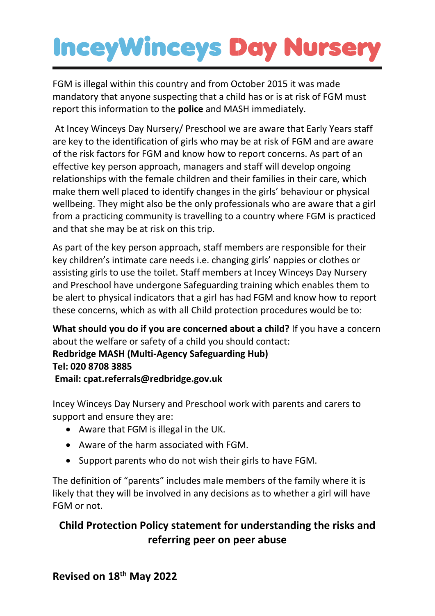FGM is illegal within this country and from October 2015 it was made mandatory that anyone suspecting that a child has or is at risk of FGM must report this information to the **police** and MASH immediately.

At Incey Winceys Day Nursery/ Preschool we are aware that Early Years staff are key to the identification of girls who may be at risk of FGM and are aware of the risk factors for FGM and know how to report concerns. As part of an effective key person approach, managers and staff will develop ongoing relationships with the female children and their families in their care, which make them well placed to identify changes in the girls' behaviour or physical wellbeing. They might also be the only professionals who are aware that a girl from a practicing community is travelling to a country where FGM is practiced and that she may be at risk on this trip.

As part of the key person approach, staff members are responsible for their key children's intimate care needs i.e. changing girls' nappies or clothes or assisting girls to use the toilet. Staff members at Incey Winceys Day Nursery and Preschool have undergone Safeguarding training which enables them to be alert to physical indicators that a girl has had FGM and know how to report these concerns, which as with all Child protection procedures would be to:

**What should you do if you are concerned about a child?** If you have a concern about the welfare or safety of a child you should contact:

**Redbridge MASH (Multi-Agency Safeguarding Hub) Tel: 020 8708 3885 Email: cpat.referrals@redbridge.gov.uk** 

Incey Winceys Day Nursery and Preschool work with parents and carers to support and ensure they are:

- Aware that FGM is illegal in the UK.
- Aware of the harm associated with FGM.
- Support parents who do not wish their girls to have FGM.

The definition of "parents" includes male members of the family where it is likely that they will be involved in any decisions as to whether a girl will have FGM or not.

### **Child Protection Policy statement for understanding the risks and referring peer on peer abuse**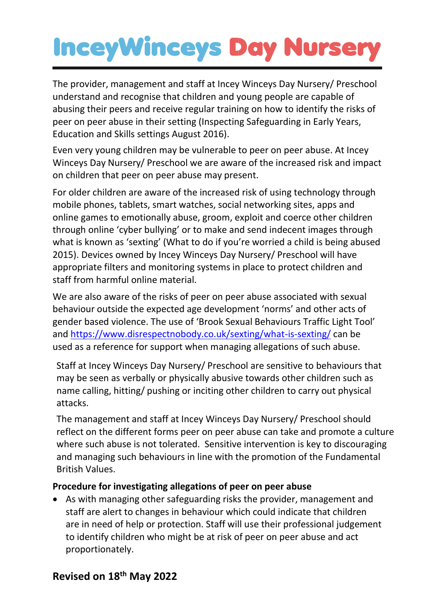The provider, management and staff at Incey Winceys Day Nursery/ Preschool understand and recognise that children and young people are capable of abusing their peers and receive regular training on how to identify the risks of peer on peer abuse in their setting (Inspecting Safeguarding in Early Years, Education and Skills settings August 2016).

Even very young children may be vulnerable to peer on peer abuse. At Incey Winceys Day Nursery/ Preschool we are aware of the increased risk and impact on children that peer on peer abuse may present.

For older children are aware of the increased risk of using technology through mobile phones, tablets, smart watches, social networking sites, apps and online games to emotionally abuse, groom, exploit and coerce other children through online 'cyber bullying' or to make and send indecent images through what is known as 'sexting' (What to do if you're worried a child is being abused 2015). Devices owned by Incey Winceys Day Nursery/ Preschool will have appropriate filters and monitoring systems in place to protect children and staff from harmful online material.

We are also aware of the risks of peer on peer abuse associated with sexual behaviour outside the expected age development 'norms' and other acts of gender based violence. The use of 'Brook Sexual Behaviours Traffic Light Tool' and<https://www.disrespectnobody.co.uk/sexting/what-is-sexting/> can be used as a reference for support when managing allegations of such abuse.

Staff at Incey Winceys Day Nursery/ Preschool are sensitive to behaviours that may be seen as verbally or physically abusive towards other children such as name calling, hitting/ pushing or inciting other children to carry out physical attacks.

The management and staff at Incey Winceys Day Nursery/ Preschool should reflect on the different forms peer on peer abuse can take and promote a culture where such abuse is not tolerated. Sensitive intervention is key to discouraging and managing such behaviours in line with the promotion of the Fundamental British Values.

#### **Procedure for investigating allegations of peer on peer abuse**

• As with managing other safeguarding risks the provider, management and staff are alert to changes in behaviour which could indicate that children are in need of help or protection. Staff will use their professional judgement to identify children who might be at risk of peer on peer abuse and act proportionately.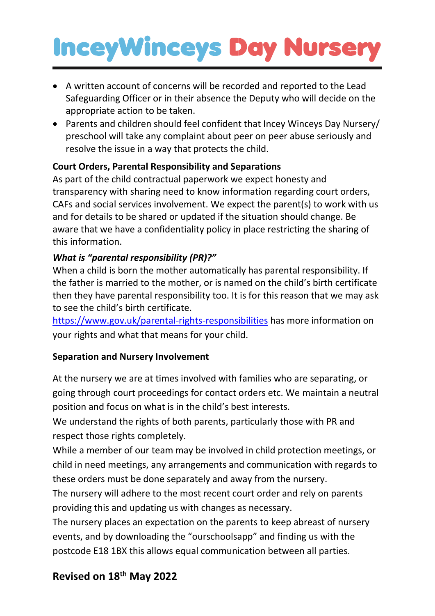- A written account of concerns will be recorded and reported to the Lead Safeguarding Officer or in their absence the Deputy who will decide on the appropriate action to be taken.
- Parents and children should feel confident that Incey Winceys Day Nursery/ preschool will take any complaint about peer on peer abuse seriously and resolve the issue in a way that protects the child.

#### **Court Orders, Parental Responsibility and Separations**

As part of the child contractual paperwork we expect honesty and transparency with sharing need to know information regarding court orders, CAFs and social services involvement. We expect the parent(s) to work with us and for details to be shared or updated if the situation should change. Be aware that we have a confidentiality policy in place restricting the sharing of this information.

#### *What is "parental responsibility (PR)?"*

When a child is born the mother automatically has parental responsibility. If the father is married to the mother, or is named on the child's birth certificate then they have parental responsibility too. It is for this reason that we may ask to see the child's birth certificate.

<https://www.gov.uk/parental-rights-responsibilities> has more information on your rights and what that means for your child.

#### **Separation and Nursery Involvement**

At the nursery we are at times involved with families who are separating, or going through court proceedings for contact orders etc. We maintain a neutral position and focus on what is in the child's best interests.

We understand the rights of both parents, particularly those with PR and respect those rights completely.

While a member of our team may be involved in child protection meetings, or child in need meetings, any arrangements and communication with regards to these orders must be done separately and away from the nursery.

The nursery will adhere to the most recent court order and rely on parents providing this and updating us with changes as necessary.

The nursery places an expectation on the parents to keep abreast of nursery events, and by downloading the "ourschoolsapp" and finding us with the postcode E18 1BX this allows equal communication between all parties.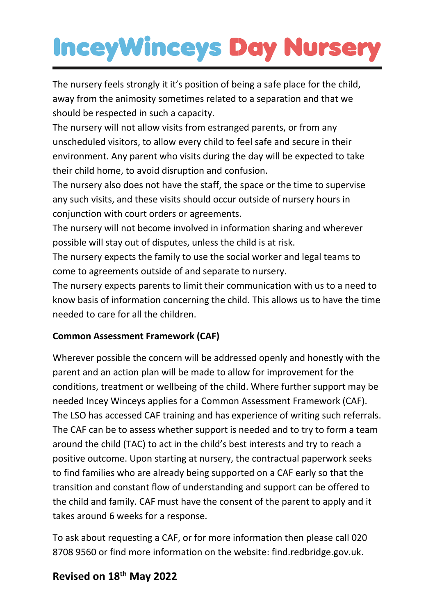The nursery feels strongly it it's position of being a safe place for the child, away from the animosity sometimes related to a separation and that we should be respected in such a capacity.

The nursery will not allow visits from estranged parents, or from any unscheduled visitors, to allow every child to feel safe and secure in their environment. Any parent who visits during the day will be expected to take their child home, to avoid disruption and confusion.

The nursery also does not have the staff, the space or the time to supervise any such visits, and these visits should occur outside of nursery hours in conjunction with court orders or agreements.

The nursery will not become involved in information sharing and wherever possible will stay out of disputes, unless the child is at risk.

The nursery expects the family to use the social worker and legal teams to come to agreements outside of and separate to nursery.

The nursery expects parents to limit their communication with us to a need to know basis of information concerning the child. This allows us to have the time needed to care for all the children.

#### **Common Assessment Framework (CAF)**

Wherever possible the concern will be addressed openly and honestly with the parent and an action plan will be made to allow for improvement for the conditions, treatment or wellbeing of the child. Where further support may be needed Incey Winceys applies for a Common Assessment Framework (CAF). The LSO has accessed CAF training and has experience of writing such referrals. The CAF can be to assess whether support is needed and to try to form a team around the child (TAC) to act in the child's best interests and try to reach a positive outcome. Upon starting at nursery, the contractual paperwork seeks to find families who are already being supported on a CAF early so that the transition and constant flow of understanding and support can be offered to the child and family. CAF must have the consent of the parent to apply and it takes around 6 weeks for a response.

To ask about requesting a CAF, or for more information then please call 020 8708 9560 or find more information on the website: find.redbridge.gov.uk.